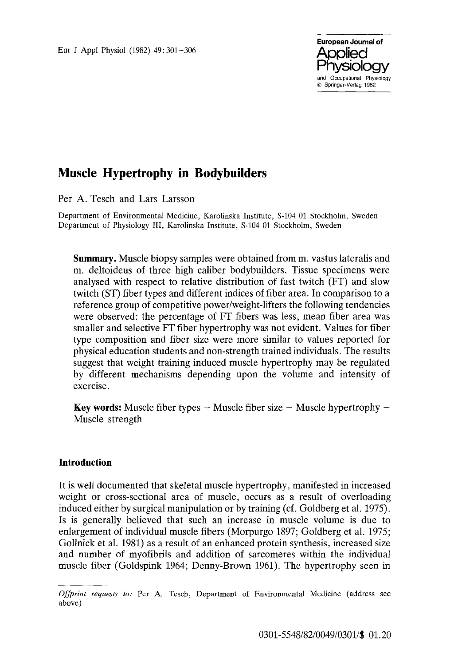

# **Muscle Hypertrophy in Bodybuilders**

Per A. Tesch and Lars Larsson

Department of Environmental Medicine, Karolinska Institute, S-104 01 Stockholm, Sweden Department of Physiology III, Karolinska Institute, S-104 01 Stockholm, Sweden

**Summary.** Muscle biopsy samples were obtained from m. vastus lateralis and m. deltoideus of three high caliber bodybuilders. Tissue specimens were analysed with respect to relative distribution of fast twitch (FT) and slow twitch (ST) fiber types and different indices of fiber area. In comparison to a reference group of competitive power/weight-lifters the following tendencies were observed: the percentage of FT fibers was less, mean fiber area was smaller and selective FT fiber hypertrophy was not evident. Values for fiber type composition and fiber size were more similar to values reported for physical education students and non-strength trained individuals. The results suggest that weight training induced muscle hypertrophy may be regulated by different mechanisms depending upon the volume and intensity of exercise.

**Key words:** Muscle fiber types  $-$  Muscle fiber size  $-$  Muscle hypertrophy  $-$ Muscle strength

## **Introduction**

It is well documented that skeletal muscle hypertrophy, manifested in increased weight or cross-sectional area of muscle, occurs as a result of overloading induced either by surgical manipulation or by training (cf. Goldberg et al. 1975). Is is generally believed that such an increase in muscle volume is due to enlargement of individual muscle fibers (Morpurgo 1897; Goldberg et al. 1975; Gollnick et al. 1981) as a result of an enhanced protein synthesis, increased size and number of myofibrils and addition of sarcomeres within the individual muscle fiber (Goldspink 1964; Denny-Brown 1961). The hypertrophy seen in

*Offprint requests to:* Per A. Tesch, Department of Environmental Medicine (address see above)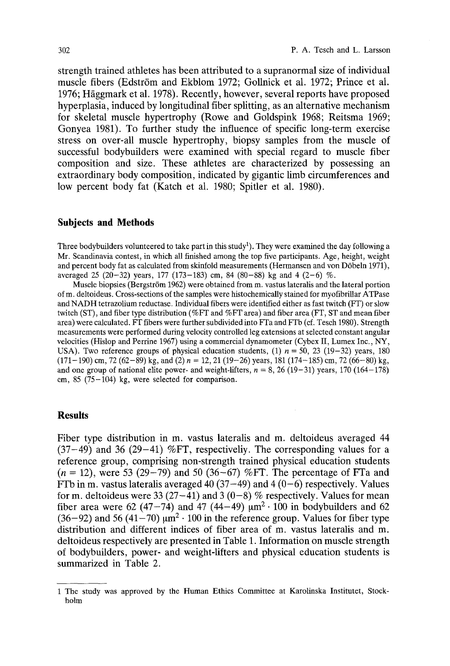strength trained athletes has been attributed to a supranormal size of individual muscle fibers (Edström and Ekblom 1972; Gollnick et al. 1972; Prince et al. 1976; Häggmark et al. 1978). Recently, however, several reports have proposed hyperplasia, induced by longitudinal fiber splitting, as an alternative mechanism for skeletal muscle hypertrophy (Rowe and Goldspink 1968; Reitsma 1969; Gonyea 1981). To further study the influence of specific long-term exercise stress on over-all muscle hypertrophy, biopsy samples from the muscle of successful bodybuilders were examined with special regard to muscle fiber composition and size. These athletes are characterized by possessing an extraordinary body composition, indicated by gigantic limb circumferences and low percent body fat (Katch et al. 1980; Spitler et al. 1980).

### **Subjects and Methods**

Three bodybuilders volunteered to take part in this study<sup>1</sup>). They were examined the day following a Mr. Scandinavia contest, in which all finished among the top five participants. Age, height, weight and percent body fat as calculated from skinfold measurements (Hermansen and von Döbeln 1971), averaged 25 (20-32) years, 177 (173-183) cm, 84 (80-88) kg and 4 (2-6) %.

Muscle biopsies (Bergström 1962) were obtained from m. vastus lateralis and the lateral portion of m. deltoideus. Cross-sections of the samples were histochemically stained for myofibrillar ATPase and NADH tetrazolium reductase. Individual fibers were identified either as fast twitch (FT) or slow twitch (ST), and fiber type distribution (%FT and %FT area) and fiber area (FT, ST and mean fiber area) were calculated. FF fibers were further subdivided into FTa and FTb (cf. Tesch 1980). Strength measurements were performed during velocity controlled leg extensions at selected constant angular velocities (Hislop and Perrine 1967) using a commercial dynamometer (Cybex II, Lumex Inc., NY, USA). Two reference groups of physical education students, (1)  $n = 50$ , 23 (19-32) years, 180  $(171-190)$  cm, 72  $(62-89)$  kg, and  $(2)$  n = 12, 21 (19-26) years, 181 (174-185) cm, 72 (66-80) kg, and one group of national elite power- and weight-lifters,  $n = 8$ , 26 (19–31) years, 170 (164–178) cm,  $85$  (75-104) kg, were selected for comparison.

#### **Results**

Fiber type distribution in m. vastus lateralis and m. deltoideus averaged 44  $(37-49)$  and 36  $(29-41)$  %FT, respectiveliy. The corresponding values for a reference group, comprising non-strength trained physical education students  $(n = 12)$ , were 53 (29–79) and 50 (36–67) %FT. The percentage of FTa and FTb in m. vastus lateralis averaged 40 (37-49) and 4 (0-6) respectively. Values for m. deltoideus were 33 (27-41) and 3 (0-8) % respectively. Values for mean fiber area were 62 (47-74) and 47 (44-49)  $\mu$ m<sup>2</sup> · 100 in bodybuilders and 62 (36-92) and 56 (41-70)  $\mu$ m<sup>2</sup> · 100 in the reference group. Values for fiber type distribution and different indices of fiber area of m. vastus lateralis and m. deltoideus respectively are presented in Table 1. Information on muscle strength of bodybuilders, power- and weight-lifters and physical education students is summarized in Table 2.

<sup>1</sup> The study was approved by the Human Ethics Committee at Karolinska Institutet, Stockholm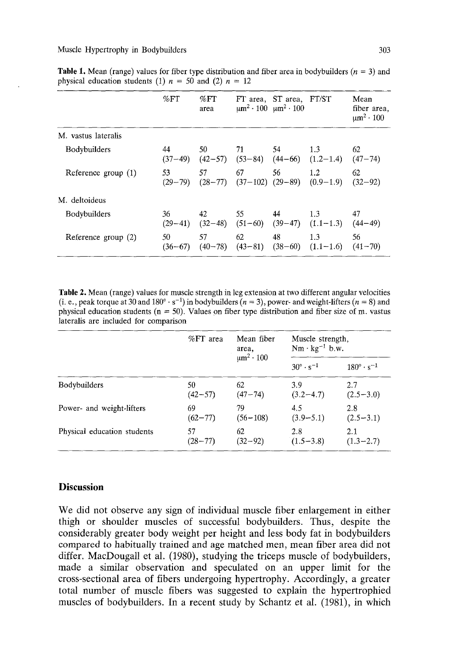|                       | $\%$ FT           | $\%$ FT<br>area   |                            | FT area, ST area, FT/ST<br>$\mu m^2 \cdot 100 \mu m^2 \cdot 100$ |                      | Mean<br>fiber area,<br>$\mu$ m <sup>2</sup> · 100 |
|-----------------------|-------------------|-------------------|----------------------------|------------------------------------------------------------------|----------------------|---------------------------------------------------|
| M. vastus lateralis   |                   |                   |                            |                                                                  |                      |                                                   |
| Bodybuilders          | 44<br>$(37-49)$   | 50<br>$(42 - 57)$ | 71<br>$(53 - 84)$          | 54<br>$(44-66)$                                                  | 1.3<br>$(1.2-1.4)$   | 62<br>$(47 - 74)$                                 |
| Reference group $(1)$ | 53<br>$(29 - 79)$ | 57<br>$(28 - 77)$ | 67<br>$(37-102)$ $(29-89)$ | 56                                                               | 1.2<br>$(0.9-1.9)$   | 62<br>$(32-92)$                                   |
| M. deltoideus         |                   |                   |                            |                                                                  |                      |                                                   |
| Bodybuilders          | 36<br>$(29-41)$   | 42<br>$(32-48)$   | 55<br>$(51-60)$            | 44<br>$(39 - 47)$                                                | 1.3<br>$(1.1 - 1.3)$ | 47<br>$(44 - 49)$                                 |
| Reference group (2)   | 50<br>$(36 - 67)$ | 57<br>$(40 - 78)$ | 62<br>$(43 - 81)$          | 48<br>$(38-60)$                                                  | 1.3<br>$(1.1 - 1.6)$ | 56<br>$(41 - 70)$                                 |

**Table 1.** Mean (range) values for fiber type distribution and fiber area in bodybuilders  $(n = 3)$  and physical education students (1)  $n = 50$  and (2)  $n = 12$ 

**Table** 2. Mean (range) values for muscle strength in leg extension at two different angular velocities (i. e., peak torque at 30 and 180° · s<sup>-1</sup>) in bodybuilders ( $n = 3$ ), power- and weight-lifters ( $n = 8$ ) and physical education students ( $n = 50$ ). Values on fiber type distribution and fiber size of m. vastus lateralis are included for comparison

|                             | $%FT$ area  | Mean fiber<br>area.<br>$um^2 \cdot 100$ | Muscle strength,<br>$Nm \cdot kg^{-1} b.w.$ |                            |
|-----------------------------|-------------|-----------------------------------------|---------------------------------------------|----------------------------|
|                             |             |                                         | $30^\circ \cdot s^{-1}$                     | $180^{\circ} \cdot s^{-1}$ |
| Bodybuilders                | 50          | 62                                      | 3.9                                         | 2.7                        |
|                             | $(42 - 57)$ | $(47 - 74)$                             | $(3.2 - 4.7)$                               | $(2.5-3.0)$                |
| Power- and weight-lifters   | 69          | 79                                      | 4.5                                         | 2.8                        |
|                             | $(62 - 77)$ | $(56 - 108)$                            | $(3.9 - 5.1)$                               | $(2.5-3.1)$                |
| Physical education students | 57          | 62                                      | 2.8                                         | 2.1                        |
|                             | $(28 - 77)$ | $(32 - 92)$                             | $(1.5 - 3.8)$                               | $(1.3 - 2.7)$              |

## **Discussion**

We did not observe any sign of individual muscle fiber enlargement in either thigh or shoulder muscles of successful bodybuilders. Thus, despite the considerably greater body weight per height and less body fat in bodybuilders compared to habitually trained and age matched men, mean fiber area did not differ. MacDougall et al. (1980), studying the triceps muscle of bodybuilders, made a similar observation and speculated on an upper limit for the cross-sectional area of fibers undergoing hypertrophy. Accordingly, a greater total number of muscle fibers was suggested to explain the hypertrophied muscles of bodybuilders. In a recent study by Schantz et al. (1981), in which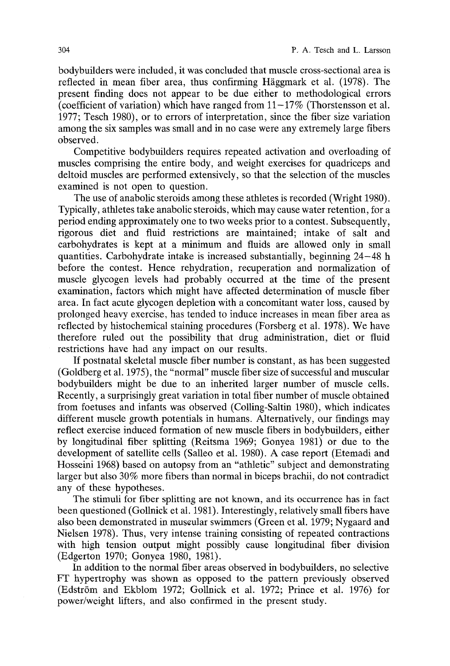bodybuilders were included, it was concluded that muscle cross-sectional area is reflected in mean fiber area, thus confirming Häggmark et al. (1978). The present finding does not appear to be due either to methodological errors (coefficient of variation) which have ranged from  $11-17\%$  (Thorstensson et al. 1977; Tesch 1980), or to errors of interpretation, since the fiber size variation among the six samples was small and in no case were any extremely large fibers observed.

Competitive bodybuilders requires repeated activation and overloading of muscles comprising the entire body, and weight exercises for quadriceps and deltoid muscles are performed extensively, so that the selection of the muscles examined is not open to question.

The use of anabolic steroids among these athletes is recorded (Wright 1980). Typically, athletes take anabolic steroids, which may cause water retention, for a period ending approximately one to two weeks prior to a contest. Subsequently, rigorous diet and fluid restrictions are maintained; intake of salt and carbohydrates is kept at a minimum and fluids are allowed only in small quantities. Carbohydrate intake is increased substantially, beginning 24-48 h before the contest. Hence rehydration, recuperation and normalization of muscle glycogen levels had probably occurred at the time of the present examination, factors which might have affected determination of muscle fiber area. In fact acute glycogen depletion with a concomitant water loss, caused by prolonged heavy exercise, has tended to induce increases in mean fiber area as reflected by histochemical staining procedures (Forsberg et al. 1978). We have therefore ruled out the possibility that drug administration, diet or fluid restrictions have had any impact on our results.

If postnatal skeletal muscle fiber number is constant, as has been suggested (Goldberg et al. 1975), the "normal" muscle fiber size of successful and muscular bodybuilders might be due to an inherited larger number of muscle cells. Recently, a surprisingly great variation in total fiber number of muscle obtained from foetuses and infants was observed (Colling-Saltin 1980), which indicates different muscle growth potentials in humans. Alternatively, our findings may reflect exercise induced formation of new muscle fibers in bodybuilders, either by longitudinal fiber splitting (Reitsma 1969; Gonyea 1981) or due to the development of satellite cells (Salleo et al. 1980). A case report (Etemadi and Hosseini 1968) based on autopsy from an "athletic" subject and demonstrating larger but also 30% more fibers than normal in biceps brachii, do not contradict any of these hypotheses.

The stimuli for fiber splitting are not known, and its occurrence has in fact been questioned (Gollnick et al. 1981). Interestingly, relatively small fibers have also been demonstrated in muscular swimmers (Green et al. 1979; Nygaard and Nielsen 1978). Thus, very intense training consisting of repeated contractions with high tension output might possibly cause longitudinal fiber division (Edgerton 1970; Gonyea 1980, 1981).

In addition to the normal fiber areas observed in bodybuilders, no selective FT hypertrophy was shown as opposed to the pattern previously observed (Edström and Ekblom 1972; Gollnick et al. 1972; Prince et al. 1976) for power/weight lifters, and also confirmed in the present study.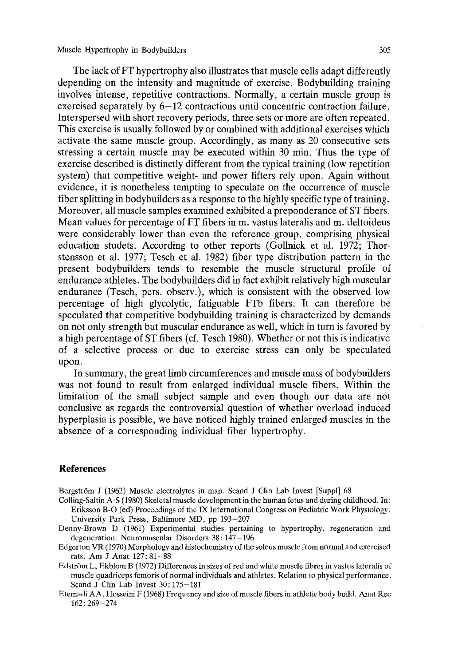#### Muscle Hypertrophy in Bodybuilders 305

The lack of FT hypertrophy also illustrates that muscle cells adapt differently depending on the intensity and magnitude of exercise. Bodybuilding training involves intense, repetitive contractions. Normally, a certain muscle group is exercised separately by 6-12 contractions until concentric contraction failure. Interspersed with short recovery periods, three sets or more are often repeated. This exercise is usually followed by or combined with additional exercises which activate the same muscle group. Accordingly, as many as 20 consecutive sets stressing a certain muscle may be executed within 30 min. Thus the type of exercise described is distinctly different from the typical training (low repetition system) that competitive weight- and power lifters rely upon. Again without evidence, it is nonetheless tempting to speculate on the occurrence of muscle fiber splitting in bodybuilders as a response to the highly specific type of training. Moreover, all muscle samples examined exhibited a preponderance of ST fibers. Mean values for percentage of FT fibers in m. vastus lateralis and m. deltoideus were considerably lower than even the reference group, comprising physical education studets. According to other reports (Gollnick et al. 1972; Thorstensson et al. 1977; Tesch et al. 1982) fiber type distribution pattern in the present bodybuilders tends to resemble the muscle structural profile of endurance athletes. The bodybuilders did in fact exhibit relatively high muscular endurance (Tesch, pers. observ.), which is consistent with the observed low percentage of high glycolytic, fatiguable FTb fibers. It can therefore be speculated that competitive bodybuilding training is characterized by demands on not only strength but muscular endurance as well, which in turn is favored by a high percentage of ST fibers (cf. Tesch 1980). Whether or not this is indicative of a selective process or due to exercise stress can only be speculated upon.

In summary, the great limb circumferences and muscle mass of bodybuilders was not found to result from enlarged individual muscle fibers. Within the limitation of the small subject sample and even though our data are not conclusive as regards the controversial question of whether overload induced hyperplasia is possible, we have noticed highly trained enlarged muscles in the absence of a corresponding individual fiber hypertrophy.

## **References**

Bergström J (1962) Muscle electrolytes in man. Scand J Clin Lab Invest [Suppl] 68

- Colling-Saltin A-S (1980) Skeletal muscle development in the human fetus and during childhood. In: Eriksson B-O (ed) Proceedings of the IX International Congress on Pediatric Work Physiology. University Park Press, Baltimore MD, pp 193-207
- Denny-Brown D (1961) Experimental studies pertaining to hypertrophy, regeneration and degeneration. Neuromuscular Disorders 38:147-196
- Edgerton VR (1970) Morphology and histochemistry of the soleus muscle from normal and exercised rats. Am J Anat 127:81-88
- Edstr6m L, Ekblom B (1972) Differences in sizes of red and white muscle fibres in vastus lateralis of muscle quadriceps femoris of normal individuals and athletes. Relation to physical performance. Scand J Clin Lab Invest 30:175-181
- Etemadi AA, Hosseini F (1968) Frequency and size of muscle fibers in athletic body build. Anat Rec 162 : 269-274